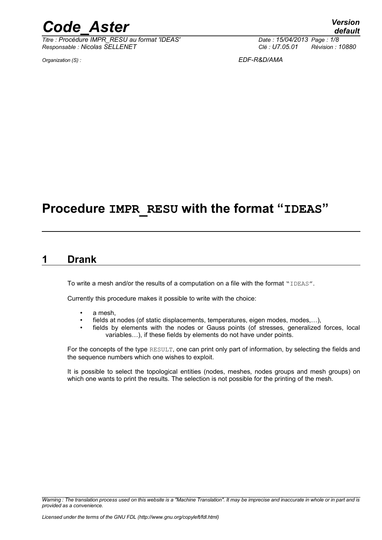*Titre : Procédure IMPR\_RESU au format 'IDEAS' Date : 15/04/2013 Page : 1/8 Responsable : Nicolas SELLENET Clé : U7.05.01 Révision : 10880*

*Organization (S) : EDF-R&D/AMA*

## **Procedure IMPR\_RESU with the format "IDEAS"**

### **1 Drank**

To write a mesh and/or the results of a computation on a file with the format "IDEAS".

Currently this procedure makes it possible to write with the choice:

- a mesh,
- fields at nodes (of static displacements, temperatures, eigen modes, modes,…),
- fields by elements with the nodes or Gauss points (of stresses, generalized forces, local variables…), if these fields by elements do not have under points.

For the concepts of the type RESULT, one can print only part of information, by selecting the fields and the sequence numbers which one wishes to exploit.

It is possible to select the topological entities (nodes, meshes, nodes groups and mesh groups) on which one wants to print the results. The selection is not possible for the printing of the mesh.

*Warning : The translation process used on this website is a "Machine Translation". It may be imprecise and inaccurate in whole or in part and is provided as a convenience.*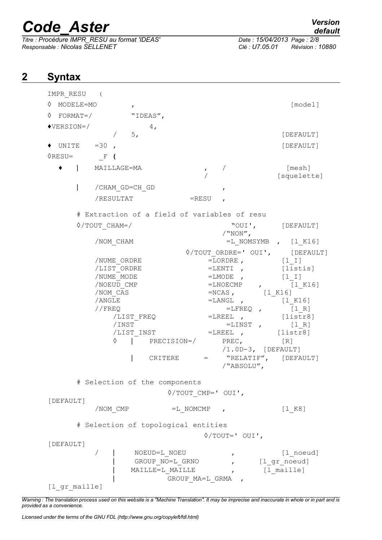*Titre : Procédure IMPR\_RESU au format 'IDEAS' Date : 15/04/2014/2013 Date : 15/04/2013 Page : 15/04/2013 Page : Nicolas SELLENET Responsable : Nicolas SELLENET Clé : U7.05.01 Révision : 10880*

## **2 Syntax**

| IMPR RESU (               |                                                                                                                                                                              |                                                                                                                                                                                                                                                                                  |                                                                                                                                |
|---------------------------|------------------------------------------------------------------------------------------------------------------------------------------------------------------------------|----------------------------------------------------------------------------------------------------------------------------------------------------------------------------------------------------------------------------------------------------------------------------------|--------------------------------------------------------------------------------------------------------------------------------|
| ♦<br>MODELE=MO            | $\mathbf{r}$                                                                                                                                                                 |                                                                                                                                                                                                                                                                                  | [model]                                                                                                                        |
| FORMAT=/<br>♦             | "IDEAS",                                                                                                                                                                     |                                                                                                                                                                                                                                                                                  |                                                                                                                                |
| $\blacklozenge$ VERSION=/ | 4 <sub>1</sub>                                                                                                                                                               |                                                                                                                                                                                                                                                                                  |                                                                                                                                |
|                           | 5,                                                                                                                                                                           |                                                                                                                                                                                                                                                                                  | [DEFAULT]                                                                                                                      |
| UNITE                     | $=30$ ,                                                                                                                                                                      |                                                                                                                                                                                                                                                                                  | [DEFAULT]                                                                                                                      |
| $\lozenge$ resu=          | F (                                                                                                                                                                          |                                                                                                                                                                                                                                                                                  |                                                                                                                                |
|                           | MAILLAGE=MA                                                                                                                                                                  | $\mathbf{r}$                                                                                                                                                                                                                                                                     | [mesh]<br>[squelette]                                                                                                          |
|                           | /CHAM GD=CH GD                                                                                                                                                               | $\mathbf{r}$                                                                                                                                                                                                                                                                     |                                                                                                                                |
|                           | /RESULTAT                                                                                                                                                                    | =RESU                                                                                                                                                                                                                                                                            |                                                                                                                                |
|                           |                                                                                                                                                                              |                                                                                                                                                                                                                                                                                  |                                                                                                                                |
|                           |                                                                                                                                                                              | # Extraction of a field of variables of resu                                                                                                                                                                                                                                     |                                                                                                                                |
|                           | $\Diamond$ /TOUT CHAM=/                                                                                                                                                      | "OUI',<br>$/$ "NON",                                                                                                                                                                                                                                                             | [DEFAULT]                                                                                                                      |
|                           | /NOM CHAM                                                                                                                                                                    |                                                                                                                                                                                                                                                                                  | $=$ L NOMSYMB, $[1 K16]$                                                                                                       |
|                           | /NUME ORDRE<br>/LIST ORDRE<br>/NUME MODE<br>/NOEUD CMP<br>/NOM CAS<br>/ANGLE<br>//FREQ<br>/LIST FREQ<br>/INST<br>/LIST INST<br>♦<br>CRITERE<br># Selection of the components | $\Diamond$ /TOUT ORDRE=' OUI', [DEFAULT]<br>$=$ LORDRE, $[1 1]$<br>$=$ LENTI,<br>$=LMODE$ ,<br>$=NCAS$ , $[1 K16]$<br>$=L$ ANGL,<br>$=$ LFREQ ,<br>$=$ LREEL,<br>$=$ LINST,<br>$=$ LREEL,<br>PRECISION=/ PREC, [R]<br>$/1.0D-3$ , [DEFAULT]<br>$\equiv$ 1000 $\pm$<br>/"ABSOLU", | [listis]<br>$[1 1]$<br>$=LMOECMP$ , $[1 K16]$<br>[1 K16]<br>$[1 R]$<br>[listr8]<br>$[1 R]$<br>[listr8]<br>"RELATIF", [DEFAULT] |
|                           |                                                                                                                                                                              |                                                                                                                                                                                                                                                                                  |                                                                                                                                |
| [DEFAULT]                 |                                                                                                                                                                              | $\Diamond$ /TOUT CMP=' OUI',                                                                                                                                                                                                                                                     |                                                                                                                                |
|                           | /NOM_CMP                                                                                                                                                                     | $=L$ NOMCMP ,                                                                                                                                                                                                                                                                    | [1 K8]                                                                                                                         |
|                           |                                                                                                                                                                              |                                                                                                                                                                                                                                                                                  |                                                                                                                                |
|                           | # Selection of topological entities                                                                                                                                          |                                                                                                                                                                                                                                                                                  |                                                                                                                                |
| [DEFAULT]                 |                                                                                                                                                                              | $\Diamond$ /TOUT=' OUI',                                                                                                                                                                                                                                                         |                                                                                                                                |
| [l gr maille]             | NOEUD=L NOEU<br>GROUP NO=L GRNO<br>MAILLE=L MAILLE                                                                                                                           | $\mathbf{r}$<br>$\mathbf{r}$<br>GROUP MA=L GRMA ,                                                                                                                                                                                                                                | [1 noeud]<br>, [l_gr_noeud]<br>[l maille]                                                                                      |

*Warning : The translation process used on this website is a "Machine Translation". It may be imprecise and inaccurate in whole or in part and is provided as a convenience.*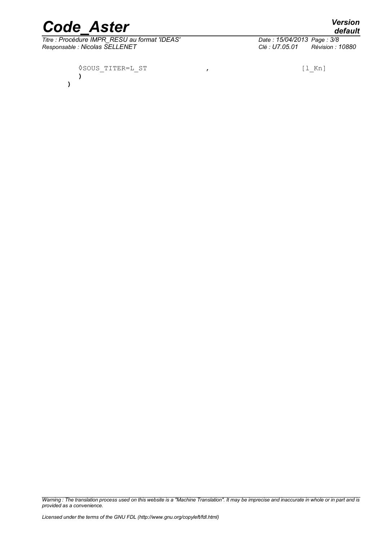**)**

*Titre : Procédure IMPR\_RESU au format 'IDEAS' Date : 15/04/2014*<br> *Responsable : Nicolas SELLENET Clé : U7.05.01 Responsable : Nicolas SELLENET Clé : U7.05.01 Révision : 10880*

*Licensed under the terms of the GNU FDL (http://www.gnu.org/copyleft/fdl.html)*

*provided as a convenience.*

*Warning : The translation process used on this website is a "Machine Translation". It may be imprecise and inaccurate in whole or in part and is*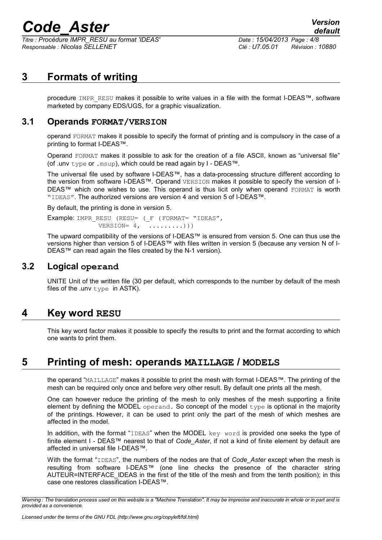*Titre : Procédure IMPR\_RESU au format 'IDEAS' Date : 15/04/2013 Page : 4/8 Responsable : Nicolas SELLENET Clé : U7.05.01 Révision : 10880*

## **3 Formats of writing**

procedure IMPR\_RESU makes it possible to write values in a file with the format I-DEAS™, software marketed by company EDS/UGS, for a graphic visualization.

#### **3.1 Operands FORMAT/VERSION**

operand FORMAT makes it possible to specify the format of printing and is compulsory in the case of a printing to format I-DEAS™.

Operand FORMAT makes it possible to ask for the creation of a file ASCII, known as "universal file" (of .unv type or .msup), which could be read again by I - DEAS™.

The universal file used by software I-DEAS™, has a data-processing structure different according to the version from software I-DEAS™. Operand VERSION makes it possible to specify the version of I-DEAS™ which one wishes to use. This operand is thus licit only when operand FORMAT is worth "IDEAS". The authorized versions are version 4 and version 5 of I-DEAS™.

By default, the printing is done in version 5.

```
Example: IMPR_RESU (RESU= ( F (FORMAT= "IDEAS",
  VERSION = 4, \ldots, \ldots))
```
The upward compatibility of the versions of I-DEAS™ is ensured from version 5. One can thus use the versions higher than version 5 of I-DEAS™ with files written in version 5 (because any version N of I-DEAS™ can read again the files created by the N-1 version).

#### **3.2 Logical operand**

UNITE Unit of the written file (30 per default, which corresponds to the number by default of the mesh files of the .unv  $type$  in ASTK).

## **4 Key word RESU**

This key word factor makes it possible to specify the results to print and the format according to which one wants to print them.

## **5 Printing of mesh: operands MAILLAGE / MODELS**

the operand "MAILLAGE" makes it possible to print the mesh with format I-DEAS™. The printing of the mesh can be required only once and before very other result. By default one prints all the mesh.

One can however reduce the printing of the mesh to only meshes of the mesh supporting a finite element by defining the MODEL operand. So concept of the model  $type$  is optional in the majority of the printings. However, it can be used to print only the part of the mesh of which meshes are affected in the model.

In addition, with the format "IDEAS" when the MODEL key word is provided one seeks the type of finite element I - DEAS™ nearest to that of *Code\_Aster*, if not a kind of finite element by default are affected in universal file I-DEAS™.

With the format "IDEAS", the numbers of the nodes are that of *Code\_Aster* except when the mesh is resulting from software I-DEAS™ (one line checks the presence of the character string AUTEUR=INTERFACE\_IDEAS in the first of the title of the mesh and from the tenth position); in this case one restores classification I-DEAS™.

*Warning : The translation process used on this website is a "Machine Translation". It may be imprecise and inaccurate in whole or in part and is provided as a convenience.*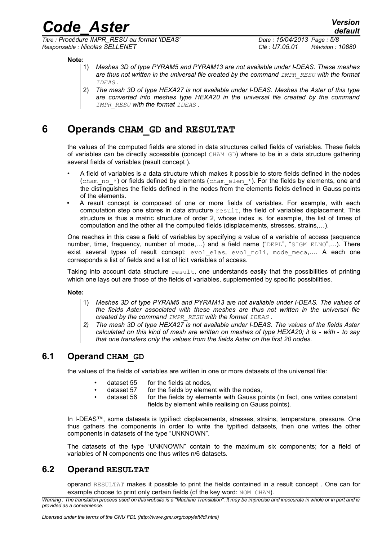*default*

*Code\_Aster Version*

*Titre : Procédure IMPR\_RESU au format 'IDEAS' Date : 15/04/2013 Page : 5/8 Responsable : Nicolas SELLENET Clé : U7.05.01 Révision : 10880*

**Note:**

- 1) *Meshes 3D of type PYRAM5 and PYRAM13 are not available under I-DEAS. These meshes are thus not written in the universal file created by the command IMPR\_RESU with the format IDEAS .*
- 2) *The mesh 3D of type HEXA27 is not available under I-DEAS. Meshes the Aster of this type are converted into meshes type HEXA20 in the universal file created by the command IMPR\_RESU with the format IDEAS .*

### **6 Operands CHAM\_GD and RESULTAT**

the values of the computed fields are stored in data structures called fields of variables. These fields of variables can be directly accessible (concept CHAM\_GD) where to be in a data structure gathering several fields of variables (result concept ).

- A field of variables is a data structure which makes it possible to store fields defined in the nodes (cham no  $*$ ) or fields defined by elements (chamelem  $*$ ). For the fields by elements, one and the distinguishes the fields defined in the nodes from the elements fields defined in Gauss points of the elements.
- A result concept is composed of one or more fields of variables. For example, with each computation step one stores in data structure result, the field of variables displacement. This structure is thus a matric structure of order 2, whose index is, for example, the list of times of computation and the other all the computed fields (displacements, stresses, strains,…).

One reaches in this case a field of variables by specifying a value of a variable of access (sequence number, time, frequency, number of mode,...) and a field name ("DEPL", "SIGM ELNO",...). There exist several types of result concept: evol elas, evol noli, mode meca,.... A each one corresponds a list of fields and a list of licit variables of access.

Taking into account data structure  $result$ , one understands easily that the possibilities of printing which one lays out are those of the fields of variables, supplemented by specific possibilities.

**Note:**

- 1) *Meshes 3D of type PYRAM5 and PYRAM13 are not available under I-DEAS. The values of the fields Aster associated with these meshes are thus not written in the universal file created by the command IMPR\_RESU with the format IDEAS .*
- *2) The mesh 3D of type HEXA27 is not available under I-DEAS. The values of the fields Aster calculated on this kind of mesh are written on meshes of type HEXA20; it is - with - to say that one transfers only the values from the fields Aster on the first 20 nodes.*

### **6.1 Operand CHAM\_GD**

the values of the fields of variables are written in one or more datasets of the universal file:

- dataset 55 for the fields at nodes,
- dataset 57 for the fields by element with the nodes,
- dataset 56 for the fields by elements with Gauss points (in fact, one writes constant fields by element while realising on Gauss points).

In I-DEAS™, some datasets is typified: displacements, stresses, strains, temperature, pressure. One thus gathers the components in order to write the typified datasets, then one writes the other components in datasets of the type "UNKNOWN".

The datasets of the type "UNKNOWN" contain to the maximum six components; for a field of variables of N components one thus writes n/6 datasets.

#### **6.2 Operand RESULTAT**

operand RESULTAT makes it possible to print the fields contained in a result concept . One can for example choose to print only certain fields (cf the key word: NOM\_CHAM).

*Warning : The translation process used on this website is a "Machine Translation". It may be imprecise and inaccurate in whole or in part and is provided as a convenience.*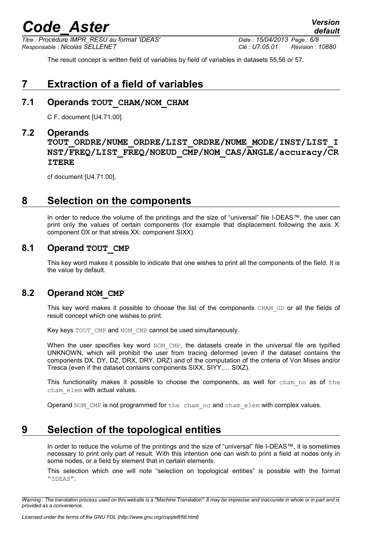*Titre : Procédure IMPR\_RESU au format 'IDEAS' Date : 15/04/2013 Page : 6/8 Responsable : Nicolas SELLENET Clé : U7.05.01 Révision : 10880*

*default*

The result concept is written field of variables by field of variables in datasets 55,56 or 57.

## **7 Extraction of a field of variables**

#### **7.1 Operands TOUT\_CHAM/NOM\_CHAM**

C F. document [U4.71.00].

#### **7.2 Operands**

**TOUT\_ORDRE/NUME\_ORDRE/LIST\_ORDRE/NUME\_MODE/INST/LIST\_I NST/FREQ/LIST\_FREQ/NOEUD\_CMP/NOM\_CAS/ANGLE/accuracy/CR ITERE**

cf document [U4.71.00].

## **8 Selection on the components**

In order to reduce the volume of the printings and the size of "universal" file I-DEAS™, the user can print only the values of certain components (for example that displacement following the axis X: component DX or that stress XX: component SIXX).

#### **8.1 Operand TOUT\_CMP**

This key word makes it possible to indicate that one wishes to print all the components of the field. It is the value by default.

#### **8.2 Operand NOM\_CMP**

This key word makes it possible to choose the list of the components CHAM GD or all the fields of result concept which one wishes to print.

Key keys TOUT CMP and NOM CMP cannot be used simultaneously.

When the user specifies key word NOM\_CMP, the datasets create in the universal file are typified UNKNOWN, which will prohibit the user from tracing deformed (even if the dataset contains the components DX, DY, DZ, DRX, DRY, DRZ) and of the computation of the criteria of Von Mises and/or Tresca (even if the dataset contains components SIXX, SIYY,… SIXZ).

This functionality makes it possible to choose the components, as well for cham no as of the cham\_elem with actual values.

Operand NOM CMP is not programmed for the cham no and cham elem with complex values.

## **9 Selection of the topological entities**

In order to reduce the volume of the printings and the size of "universal" file I-DEAS™, it is sometimes necessary to print only part of result. With this intention one can wish to print a field at nodes only in some nodes, or a field by element that in certain elements.

This selection which one will note "selection on topological entities" is possible with the format "IDEAS".

*Warning : The translation process used on this website is a "Machine Translation". It may be imprecise and inaccurate in whole or in part and is provided as a convenience.*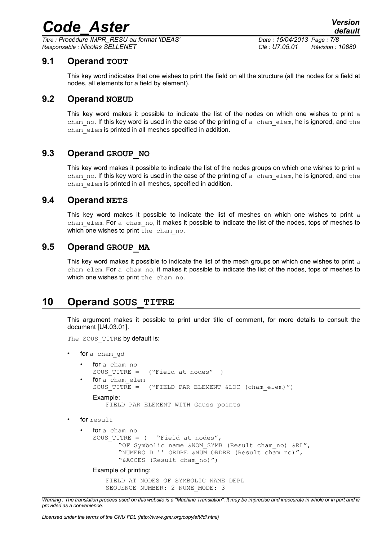*Titre : Procédure IMPR\_RESU au format 'IDEAS' Date : 15/04/2013 Page : 7/8 Responsable : Nicolas SELLENET Clé : U7.05.01 Révision : 10880*

#### **9.1 Operand TOUT**

This key word indicates that one wishes to print the field on all the structure (all the nodes for a field at nodes, all elements for a field by element).

#### **9.2 Operand NOEUD**

This key word makes it possible to indicate the list of the nodes on which one wishes to print a cham no. If this key word is used in the case of the printing of a cham elem, he is ignored, and the cham elem is printed in all meshes specified in addition.

#### **9.3 Operand GROUP\_NO**

This key word makes it possible to indicate the list of the nodes groups on which one wishes to print a cham no. If this key word is used in the case of the printing of a chamelem, he is ignored, and the cham elem is printed in all meshes, specified in addition.

#### **9.4 Operand NETS**

This key word makes it possible to indicate the list of meshes on which one wishes to print  $a$ cham elem. For a cham no, it makes it possible to indicate the list of the nodes, tops of meshes to which one wishes to print the cham no.

#### **9.5 Operand GROUP\_MA**

This key word makes it possible to indicate the list of the mesh groups on which one wishes to print  $a$ cham elem. For a cham no, it makes it possible to indicate the list of the nodes, tops of meshes to which one wishes to print the cham no.

### **10 Operand SOUS\_TITRE**

This argument makes it possible to print under title of comment, for more details to consult the document [U4.03.01].

The SOUS TITRE by default is:

- for a cham gd
	- for a cham no SOUS TITRE = ("Field at nodes" ) for a cham elem SOUS TITRE = ("FIELD PAR ELEMENT &LOC (cham elem)") Example: FIELD PAR ELEMENT WITH Gauss points
- for result
	- for a cham no SOUS TITRE =  $($  "Field at nodes", "OF Symbolic name &NOM\_SYMB (Result cham\_no) &RL", "NUMERO D '' ORDRE &NUM ORDRE (Result cham no)", "&ACCES (Result cham\_no)")

Example of printing:

FIELD AT NODES OF SYMBOLIC NAME DEPL SEQUENCE NUMBER: 2 NUME\_MODE: 3

*Warning : The translation process used on this website is a "Machine Translation". It may be imprecise and inaccurate in whole or in part and is provided as a convenience.*